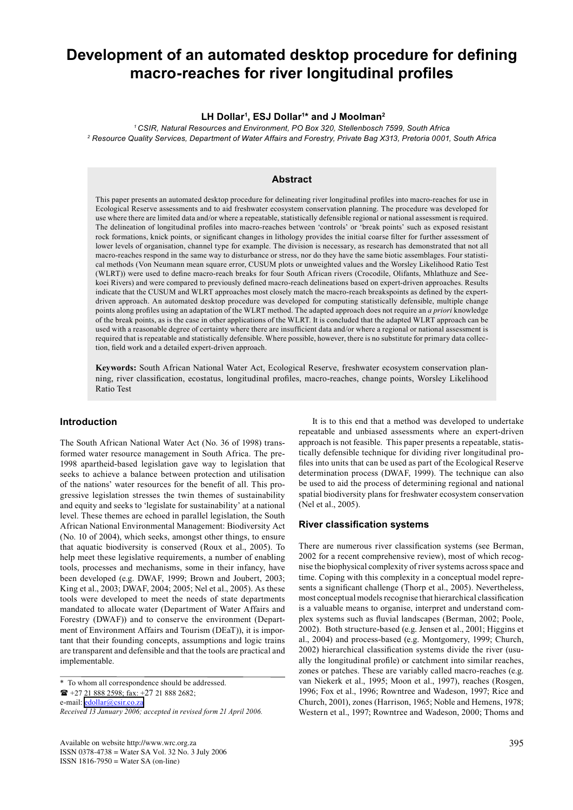# **Development of an automated desktop procedure for defining macro-reaches for river longitudinal profiles**

## **LH Dollar1 , ESJ Dollar1 \* and J Moolman2**

*1 CSIR, Natural Resources and Environment, PO Box 320, Stellenbosch 7599, South Africa 2 Resource Quality Services, Department of Water Affairs and Forestry, Private Bag X313, Pretoria 0001, South Africa*

# **Abstract**

This paper presents an automated desktop procedure for delineating river longitudinal profiles into macro-reaches for use in Ecological Reserve assessments and to aid freshwater ecosystem conservation planning. The procedure was developed for use where there are limited data and/or where a repeatable, statistically defensible regional or national assessment is required. The delineation of longitudinal profiles into macro-reaches between 'controls' or 'break points' such as exposed resistant rock formations, knick points, or significant changes in lithology provides the initial coarse filter for further assessment of lower levels of organisation, channel type for example. The division is necessary, as research has demonstrated that not all macro-reaches respond in the same way to disturbance or stress, nor do they have the same biotic assemblages. Four statistical methods (Von Neumann mean square error, CUSUM plots or unweighted values and the Worsley Likelihood Ratio Test (WLRT)) were used to define macro-reach breaks for four South African rivers (Crocodile, Olifants, Mhlathuze and Seekoei Rivers) and were compared to previously defined macro-reach delineations based on expert-driven approaches. Results indicate that the CUSUM and WLRT approaches most closely match the macro-reach breakspoints as defined by the expertdriven approach. An automated desktop procedure was developed for computing statistically defensible, multiple change points along profiles using an adaptation of the WLRT method. The adapted approach does not require an *a priori* knowledge of the break points, as is the case in other applications of the WLRT. It is concluded that the adapted WLRT approach can be used with a reasonable degree of certainty where there are insufficient data and/or where a regional or national assessment is required that is repeatable and statistically defensible. Where possible, however, there is no substitute for primary data collection, field work and a detailed expert-driven approach.

**Keywords:** South African National Water Act, Ecological Reserve, freshwater ecosystem conservation planning, river classification, ecostatus, longitudinal profiles, macro-reaches, change points, Worsley Likelihood Ratio Test

# **Introduction**

The South African National Water Act (No. 36 of 1998) transformed water resource management in South Africa. The pre-1998 apartheid-based legislation gave way to legislation that seeks to achieve a balance between protection and utilisation of the nations' water resources for the benefit of all. This progressive legislation stresses the twin themes of sustainability and equity and seeks to 'legislate for sustainability' at a national level. These themes are echoed in parallel legislation, the South African National Environmental Management: Biodiversity Act (No. 10 of 2004), which seeks, amongst other things, to ensure that aquatic biodiversity is conserved (Roux et al., 2005). To help meet these legislative requirements, a number of enabling tools, processes and mechanisms, some in their infancy, have been developed (e.g. DWAF, 1999; Brown and Joubert, 2003; King et al., 2003; DWAF, 2004; 2005; Nel et al., 2005). As these tools were developed to meet the needs of state departments mandated to allocate water (Department of Water Affairs and Forestry (DWAF)) and to conserve the environment (Department of Environment Affairs and Tourism (DEaT)), it is important that their founding concepts, assumptions and logic trains are transparent and defensible and that the tools are practical and implementable.

Available on website http://www.wrc.org.za ISSN 0378-4738 = Water SA Vol. 32 No. 3 July 2006 ISSN 1816-7950 = Water SA (on-line)

 It is to this end that a method was developed to undertake repeatable and unbiased assessments where an expert-driven approach is not feasible. This paper presents a repeatable, statistically defensible technique for dividing river longitudinal profiles into units that can be used as part of the Ecological Reserve determination process (DWAF, 1999). The technique can also be used to aid the process of determining regional and national spatial biodiversity plans for freshwater ecosystem conservation (Nel et al., 2005).

# **River classification systems**

There are numerous river classification systems (see Berman, 2002 for a recent comprehensive review), most of which recognise the biophysical complexity of river systems across space and time. Coping with this complexity in a conceptual model represents a significant challenge (Thorp et al., 2005). Nevertheless, most conceptual models recognise that hierarchical classification is a valuable means to organise, interpret and understand complex systems such as fluvial landscapes (Berman, 2002; Poole, 2002). Both structure-based (e.g. Jensen et al., 2001; Higgins et al., 2004) and process-based (e.g. Montgomery, 1999; Church, 2002) hierarchical classification systems divide the river (usually the longitudinal profile) or catchment into similar reaches, zones or patches. These are variably called macro-reaches (e.g. van Niekerk et al., 1995; Moon et al., 1997), reaches (Rosgen, 1996; Fox et al., 1996; Rowntree and Wadeson, 1997; Rice and Church, 2001), zones (Harrison, 1965; Noble and Hemens, 1978; Western et al., 1997; Rowntree and Wadeson, 2000; Thoms and

<sup>\*</sup> To whom all correspondence should be addressed.  $\mathbf{R}$  +27 21 888 2598; fax: +27 21 888 2682; e-mail: [edollar@csir.co.za](mailto:edollar@csir.co.za) *Received 13 January 2006; accepted in revised form 21 April 2006.*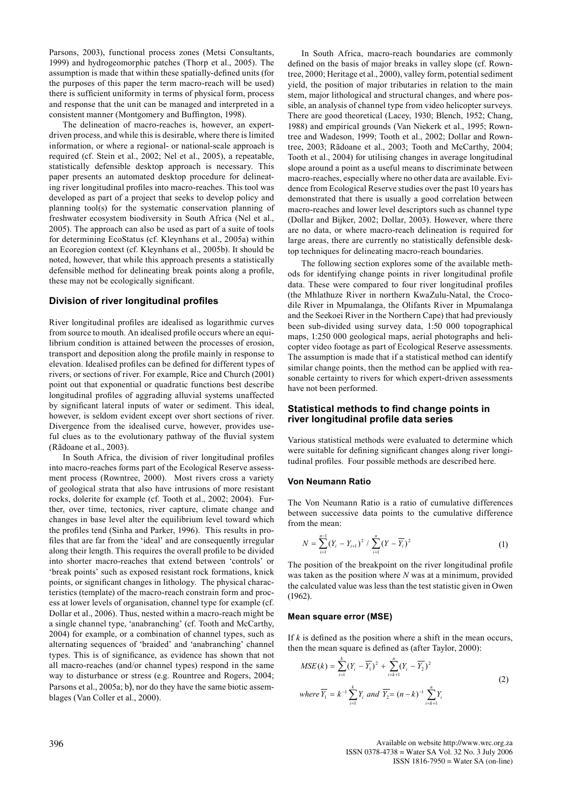Parsons, 2003), functional process zones (Metsi Consultants, 1999) and hydrogeomorphic patches (Thorp et al., 2005). The assumption is made that within these spatially-defined units (for the purposes of this paper the term macro-reach will be used) there is sufficient uniformity in terms of physical form, process and response that the unit can be managed and interpreted in a consistent manner (Montgomery and Buffington, 1998).

 The delineation of macro-reaches is, however, an expertdriven process, and while this is desirable, where there is limited information, or where a regional- or national-scale approach is required (cf. Stein et al., 2002; Nel et al., 2005), a repeatable, statistically defensible desktop approach is necessary. This paper presents an automated desktop procedure for delineating river longitudinal profiles into macro-reaches. This tool was developed as part of a project that seeks to develop policy and planning tool(s) for the systematic conservation planning of freshwater ecosystem biodiversity in South Africa (Nel et al., 2005). The approach can also be used as part of a suite of tools for determining EcoStatus (cf. Kleynhans et al., 2005a) within an Ecoregion context (cf. Kleynhans et al., 2005b). It should be noted, however, that while this approach presents a statistically defensible method for delineating break points along a profile, these may not be ecologically significant.

#### **Division of river longitudinal profiles**

River longitudinal profiles are idealised as logarithmic curves from source to mouth. An idealised profile occurs where an equilibrium condition is attained between the processes of erosion, transport and deposition along the profile mainly in response to elevation. Idealised profiles can be defined for different types of rivers, or sections of river. For example, Rice and Church (2001) point out that exponential or quadratic functions best describe longitudinal profiles of aggrading alluvial systems unaffected by significant lateral inputs of water or sediment. This ideal, however, is seldom evident except over short sections of river. Divergence from the idealised curve, however, provides useful clues as to the evolutionary pathway of the fluvial system (Rãdoane et al., 2003).

 In South Africa, the division of river longitudinal profiles into macro-reaches forms part of the Ecological Reserve assessment process (Rowntree, 2000). Most rivers cross a variety of geological strata that also have intrusions of more resistant rocks, dolerite for example (cf. Tooth et al., 2002; 2004). Further, over time, tectonics, river capture, climate change and changes in base level alter the equilibrium level toward which the profiles tend (Sinha and Parker, 1996). This results in profiles that are far from the 'ideal' and are consequently irregular along their length. This requires the overall profile to be divided into shorter macro-reaches that extend between 'controls' or 'break points' such as exposed resistant rock formations, knick points, or significant changes in lithology. The physical characteristics (template) of the macro-reach constrain form and process at lower levels of organisation, channel type for example (cf. Dollar et al., 2006). Thus, nested within a macro-reach might be a single channel type, 'anabranching' (cf. Tooth and McCarthy, 2004) for example, or a combination of channel types, such as alternating sequences of 'braided' and 'anabranching' channel types. This is of significance, as evidence has shown that not all macro-reaches (and/or channel types) respond in the same way to disturbance or stress (e.g. Rountree and Rogers, 2004; Parsons et al., 2005a; b), nor do they have the same biotic assemblages (Van Coller et al., 2000).

In South Africa, macro-reach boundaries are commonly defined on the basis of major breaks in valley slope (cf. Rowntree, 2000; Heritage et al., 2000), valley form, potential sediment yield, the position of major tributaries in relation to the main stem, major lithological and structural changes, and where possible, an analysis of channel type from video helicopter surveys. There are good theoretical (Lacey, 1930; Blench, 1952; Chang, 1988) and empirical grounds (Van Niekerk et al., 1995; Rowntree and Wadeson, 1999; Tooth et al., 2002; Dollar and Rowntree, 2003; Rãdoane et al., 2003; Tooth and McCarthy, 2004; Tooth et al., 2004) for utilising changes in average longitudinal slope around a point as a useful means to discriminate between macro-reaches, especially where no other data are available. Evidence from Ecological Reserve studies over the past 10 years has demonstrated that there is usually a good correlation between macro-reaches and lower level descriptors such as channel type (Dollar and Bijker, 2002; Dollar, 2003). However, where there are no data, or where macro-reach delineation is required for large areas, there are currently no statistically defensible desktop techniques for delineating macro-reach boundaries.

The following section explores some of the available methods for identifying change points in river longitudinal profile data. These were compared to four river longitudinal profiles (the Mhlathuze River in northern KwaZulu-Natal, the Crocodile River in Mpumalanga, the Olifants River in Mpumalanga and the Seekoei River in the Northern Cape) that had previously been sub-divided using survey data, 1:50 000 topographical maps, 1:250 000 geological maps, aerial photographs and helicopter video footage as part of Ecological Reserve assessments. The assumption is made that if a statistical method can identify similar change points, then the method can be applied with reasonable certainty to rivers for which expert-driven assessments have not been performed.

## **Statistical methods to find change points in river longitudinal profile data series**

Various statistical methods were evaluated to determine which were suitable for defining significant changes along river longitudinal profiles. Four possible methods are described here.

#### **Von Neumann Ratio**

The Von Neumann Ratio is a ratio of cumulative differences between successive data points to the cumulative difference from the mean:

$$
N = \sum_{i=1}^{n-1} (Y_i - Y_{i+1})^2 / \sum_{i=1}^{n} (Y - \overline{Y}_i)^2
$$
 (1)

The position of the breakpoint on the river longitudinal profile was taken as the position where *N* was at a minimum, provided the calculated value was less than the test statistic given in Owen (1962).

#### **Mean square error (MSE)**

If  $k$  is defined as the position where a shift in the mean occurs, then the mean square is defined as (after Taylor, 2000):

$$
MSE(k) = \sum_{i=1}^{k} (Y_i - \overline{Y_1})^2 + \sum_{i=k+1}^{n} (Y_i - \overline{Y_2})^2
$$
  
\nwhere  $\overline{Y_1} = k^{-1} \sum_{i=1}^{k} Y_i$  and  $\overline{Y_2} = (n-k)^{-1} \sum_{i=k+1}^{n} Y_i$  (2)

396 Available on website http://www.wrc.org.za ISSN 0378-4738 = Water SA Vol. 32 No. 3 July 2006 ISSN 1816-7950 = Water SA (on-line)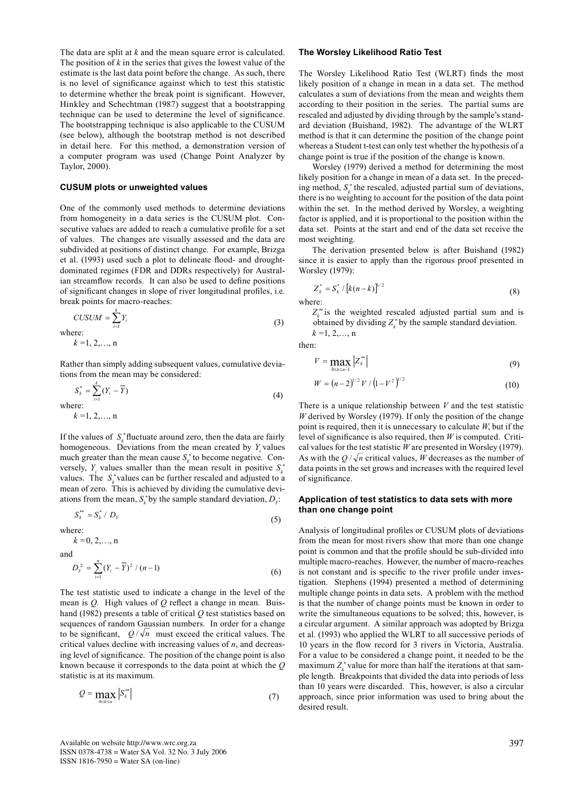The data are split at *k* and the mean square error is calculated. The position of  $k$  in the series that gives the lowest value of the estimate is the last data point before the change. As such, there is no level of significance against which to test this statistic to determine whether the break point is significant. However, Hinkley and Schechtman (1987) suggest that a bootstrapping technique can be used to determine the level of significance. The bootstrapping technique is also applicable to the CUSUM (see below), although the bootstrap method is not described in detail here. For this method, a demonstration version of a computer program was used (Change Point Analyzer by Taylor, 2000).

#### **CUSUM plots or unweighted values**

One of the commonly used methods to determine deviations from homogeneity in a data series is the CUSUM plot. Consecutive values are added to reach a cumulative profile for a set of values. The changes are visually assessed and the data are subdivided at positions of distinct change. For example, Brizga et al. (1993) used such a plot to delineate flood- and droughtdominated regimes (FDR and DDRs respectively) for Australian streamflow records. It can also be used to define positions of significant changes in slope of river longitudinal profiles, i.e. break points for macro-reaches:

$$
CUSUM = \sum_{i=1}^{k} Y_i
$$
 (3)

where.  

$$
k = 1, 2, ..., n
$$

Rather than simply adding subsequent values, cumulative deviations from the mean may be considered:

$$
S_k^* = \sum_{i=1}^k (Y_i - \overline{Y})
$$
  
where: (4)

 *k =*1, 2,…, n

If the values of  $S_k^*$  fluctuate around zero, then the data are fairly homogeneous. Deviations from the mean created by *Y<sub>i</sub>* values much greater than the mean cause  $S_k^*$  to become negative. Conversely,  $Y_i$  values smaller than the mean result in positive  $S_k^*$ values. The  $S_k^*$  values can be further rescaled and adjusted to a mean of zero. This is achieved by dividing the cumulative deviations from the mean,  $S_k^*$  by the sample standard deviation,  $D_Y$ :

$$
S_k^{**} = S_k^* / D_Y \tag{5}
$$

where:

 *k =*0, 2,…, n

and

$$
D_{Y}^{2} = \sum_{i=1}^{n} (Y_{i} - \overline{Y})^{2} / (n-1)
$$
 (6)

The test statistic used to indicate a change in the level of the mean is *Q.* High values of *Q* reflect a change in mean. Buishand (1982) presents a table of critical *Q* test statistics based on sequences of random Gaussian numbers. In order for a change to be significant,  $Q/\sqrt{n}$  must exceed the critical values. The critical values decline with increasing values of *n*, and decreasing level of significance. The position of the change point is also known because it corresponds to the data point at which the *Q* statistic is at its maximum.

$$
Q = \max_{0 \le k \le n} |S_k^{**}| \tag{7}
$$

#### **The Worsley Likelihood Ratio Test**

The Worsley Likelihood Ratio Test (WLRT) finds the most likely position of a change in mean in a data set. The method calculates a sum of deviations from the mean and weights them according to their position in the series. The partial sums are rescaled and adjusted by dividing through by the sample's standard deviation (Buishand, 1982). The advantage of the WLRT method is that it can determine the position of the change point whereas a Student t-test can only test whether the hypothesis of a change point is true if the position of the change is known.

 Worsley (1979) derived a method for determining the most likely position for a change in mean of a data set. In the preceding method,  $S_k^*$  the rescaled, adjusted partial sum of deviations, there is no weighting to account for the position of the data point within the set. In the method derived by Worsley, a weighting factor is applied, and it is proportional to the position within the data set. Points at the start and end of the data set receive the most weighting.

 The derivation presented below is after Buishand (1982) since it is easier to apply than the rigorous proof presented in Worsley (1979):

$$
Z_k^* = S_k^* / [k(n-k)]^{1/2}
$$
 (8)

where:

 $Z_k^*$  is the weighted rescaled adjusted partial sum and is obtained by dividing  $Z_k^*$  by the sample standard deviation.  *k =*1, 2,…, n

then:

$$
V = \max_{0 \le k \le n-1} \left| Z_k^{**} \right| \tag{9}
$$

$$
W = (n-2)^{1/2} V / (1 - V^2)^{1/2}
$$
 (10)

There is a unique relationship between *V* and the test statistic *W* derived by Worsley (1979). If only the position of the change point is required, then it is unnecessary to calculate *W*, but if the level of significance is also required, then *W* is computed. Critical values for the test statistic *W* are presented in Worsley (1979). As with the  $Q/\sqrt{n}$  critical values, *W* decreases as the number of data points in the set grows and increases with the required level of significance.

## **Application of test statistics to data sets with more than one change point**

Analysis of longitudinal profiles or CUSUM plots of deviations from the mean for most rivers show that more than one change point is common and that the profile should be sub-divided into multiple macro-reaches. However, the number of macro-reaches is not constant and is specific to the river profile under investigation. Stephens (1994) presented a method of determining multiple change points in data sets. A problem with the method is that the number of change points must be known in order to write the simultaneous equations to be solved; this, however, is a circular argument. A similar approach was adopted by Brizga et al. (1993) who applied the WLRT to all successive periods of 10 years in the flow record for 3 rivers in Victoria, Australia. For a value to be considered a change point, it needed to be the maximum  $Z_k^*$  value for more than half the iterations at that sample length. Breakpoints that divided the data into periods of less than 10 years were discarded. This, however, is also a circular approach, since prior information was used to bring about the desired result.

Available on website http://www.wrc.org.za ISSN 0378-4738 = Water SA Vol. 32 No. 3 July 2006 ISSN 1816-7950 = Water SA (on-line)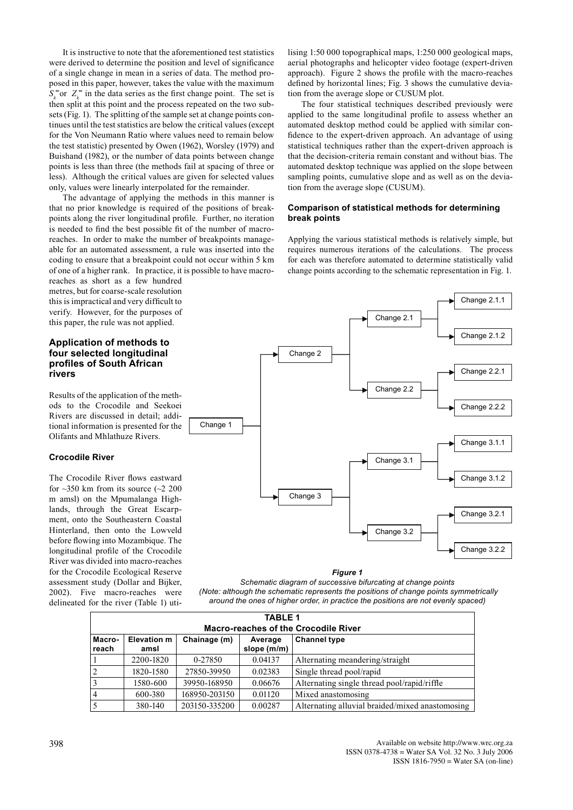It is instructive to note that the aforementioned test statistics were derived to determine the position and level of significance of a single change in mean in a series of data. The method proposed in this paper, however, takes the value with the maximum  $S_k^*$  or  $Z_k^*$  in the data series as the first change point. The set is then split at this point and the process repeated on the two subsets (Fig. 1). The splitting of the sample set at change points continues until the test statistics are below the critical values (except for the Von Neumann Ratio where values need to remain below the test statistic) presented by Owen (1962), Worsley (1979) and Buishand (1982), or the number of data points between change points is less than three (the methods fail at spacing of three or less). Although the critical values are given for selected values only, values were linearly interpolated for the remainder.

 The advantage of applying the methods in this manner is that no prior knowledge is required of the positions of breakpoints along the river longitudinal profile. Further, no iteration is needed to find the best possible fit of the number of macroreaches. In order to make the number of breakpoints manageable for an automated assessment, a rule was inserted into the coding to ensure that a breakpoint could not occur within 5 km of one of a higher rank. In practice, it is possible to have macro-

reaches as short as a few hundred metres, but for coarse-scale resolution this is impractical and very difficult to verify. However, for the purposes of this paper, the rule was not applied.

# **Application of methods to four selected longitudinal profiles of South African rivers**

Results of the application of the methods to the Crocodile and Seekoei Rivers are discussed in detail; additional information is presented for the Olifants and Mhlathuze Rivers.

# **Crocodile River**

The Crocodile River flows eastward for  $\sim$ 350 km from its source ( $\sim$ 2 200 m amsl) on the Mpumalanga Highlands, through the Great Escarpment, onto the Southeastern Coastal Hinterland, then onto the Lowveld before flowing into Mozambique. The longitudinal profile of the Crocodile River was divided into macro-reaches for the Crocodile Ecological Reserve assessment study (Dollar and Bijker, 2002). Five macro-reaches were delineated for the river (Table 1) utilising 1:50 000 topographical maps, 1:250 000 geological maps, aerial photographs and helicopter video footage (expert-driven approach). Figure 2 shows the profile with the macro-reaches defined by horizontal lines; Fig. 3 shows the cumulative deviation from the average slope or CUSUM plot.

The four statistical techniques described previously were applied to the same longitudinal profile to assess whether an automated desktop method could be applied with similar confidence to the expert-driven approach. An advantage of using statistical techniques rather than the expert-driven approach is that the decision-criteria remain constant and without bias. The automated desktop technique was applied on the slope between sampling points, cumulative slope and as well as on the deviation from the average slope (CUSUM).

# **Comparison of statistical methods for determining break points**

Applying the various statistical methods is relatively simple, but requires numerous iterations of the calculations. The process for each was therefore automated to determine statistically valid change points according to the schematic representation in Fig. 1.



*Figure 1*

*Schematic diagram of successive bifurcating at change points (Note: although the schematic represents the positions of change points symmetrically around the ones of higher order, in practice the positions are not evenly spaced)*

| <b>TABLE 1</b><br><b>Macro-reaches of the Crocodile River</b> |                            |               |                        |                                                 |  |  |
|---------------------------------------------------------------|----------------------------|---------------|------------------------|-------------------------------------------------|--|--|
| Macro-<br>reach                                               | <b>Elevation m</b><br>amsl | Chainage (m)  | Average<br>slope (m/m) | <b>Channel type</b>                             |  |  |
|                                                               | 2200-1820                  | 0-27850       | 0.04137                | Alternating meandering/straight                 |  |  |
| 2                                                             | 1820-1580                  | 27850-39950   | 0.02383                | Single thread pool/rapid                        |  |  |
| $\overline{3}$                                                | 1580-600                   | 39950-168950  | 0.06676                | Alternating single thread pool/rapid/riffle     |  |  |
| $\overline{4}$                                                | 600-380                    | 168950-203150 | 0.01120                | Mixed anastomosing                              |  |  |
| 5                                                             | 380-140                    | 203150-335200 | 0.00287                | Alternating alluvial braided/mixed anastomosing |  |  |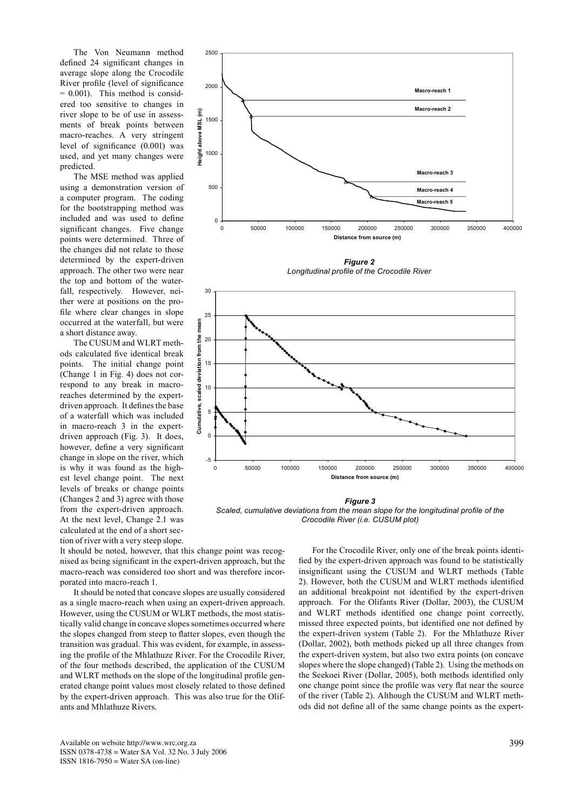The Von Neumann method defined 24 significant changes in average slope along the Crocodile River profile (level of significance  $= 0.001$ ). This method is considered too sensitive to changes in river slope to be of use in assessments of break points between macro-reaches. A very stringent level of significance (0.001) was used, and yet many changes were predicted.

 The MSE method was applied using a demonstration version of a computer program. The coding for the bootstrapping method was included and was used to define significant changes. Five change points were determined. Three of the changes did not relate to those determined by the expert-driven approach. The other two were near the top and bottom of the waterfall, respectively. However, neither were at positions on the profile where clear changes in slope occurred at the waterfall, but were a short distance away.

 The CUSUM and WLRT methods calculated five identical break points. The initial change point (Change 1 in Fig. 4) does not correspond to any break in macroreaches determined by the expertdriven approach. It defines the base of a waterfall which was included in macro-reach 3 in the expertdriven approach (Fig. 3). It does, however, define a very significant change in slope on the river, which is why it was found as the highest level change point. The next levels of breaks or change points (Changes 2 and 3) agree with those from the expert-driven approach. At the next level, Change 2.1 was calculated at the end of a short section of river with a very steep slope.

2500 2000 **Macro-reach 1 Macro-reach 2** ε **Height above MSL (m)** 1500 Height above MSL 1000 **Macro-reach 3** 500 **Macro-reach 4 Macro-reach 5**  $\overline{0}$ 0 50000 100000 150000 200000 250000 300000 350000 400000 **Distance from source (m)**





**profile of the Crocodile River (i.e. CUSUM plot)**  *Scaled, cumulative deviations from the mean slope for the longitudinal profile of the Figure 3 Crocodile River (i.e. CUSUM plot)*

It should be noted, however, that this change point was recognised as being significant in the expert-driven approach, but the macro-reach was considered too short and was therefore incorporated into macro-reach 1.

 It should be noted that concave slopes are usually considered as a single macro-reach when using an expert-driven approach. However, using the CUSUM or WLRT methods, the most statistically valid change in concave slopes sometimes occurred where the slopes changed from steep to flatter slopes, even though the transition was gradual. This was evident, for example, in assessing the profile of the Mhlathuze River. For the Crocodile River, of the four methods described, the application of the CUSUM and WLRT methods on the slope of the longitudinal profile generated change point values most closely related to those defined by the expert-driven approach. This was also true for the Olifants and Mhlathuze Rivers. **Height** are  $\frac{1}{\pi}$  or

For the Crocodile River, only one of the break points identified by the expert-driven approach was found to be statistically insignificant using the CUSUM and WLRT methods (Table 2). However, both the CUSUM and WLRT methods identified an additional breakpoint not identified by the expert-driven approach. For the Olifants River (Dollar, 2003), the CUSUM and WLRT methods identified one change point correctly, missed three expected points, but identified one not defined by the expert-driven system (Table 2). For the Mhlathuze River (Dollar, 2002), both methods picked up all three changes from the expert-driven system, but also two extra points (on concave slopes where the slope changed) (Table 2). Using the methods on the Seekoei River (Dollar, 2005), both methods identified only one change point since the profile was very flat near the source of the river (Table 2). Although the CUSUM and WLRT methods did not define all of the same change points as the expert-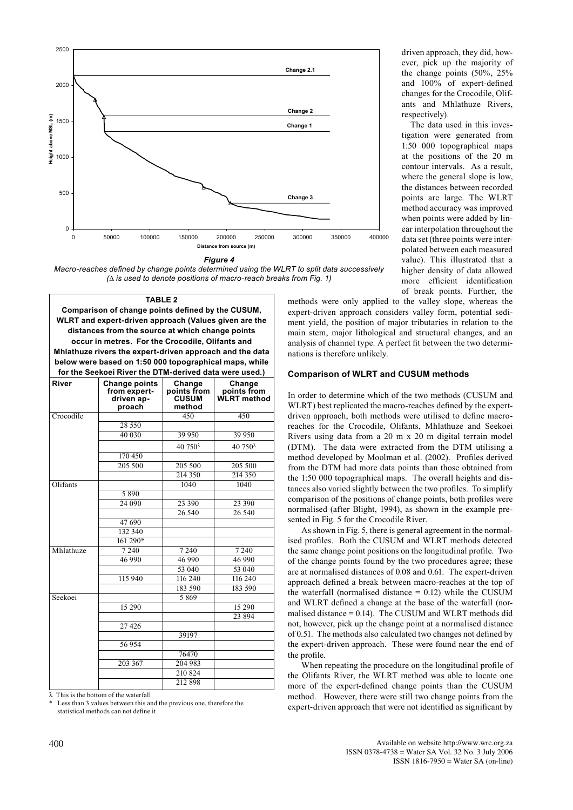



### **TABLE 2**

**Comparison of change points defined by the CUSUM, WLRT and expert-driven approach (Values given are the distances from the source at which change points occur in metres. For the Crocodile, Olifants and Mhlathuze rivers the expert-driven approach and the data below were based on 1:50 000 topographical maps, while for the Seekoei River the DTM-derived data were used.)**

| <b>River</b> | <b>Change points</b><br>from expert-<br>driven ap-<br>proach | Change<br>points from<br><b>CUSUM</b><br>method | <b>Change</b><br>points from<br>WLRT method |
|--------------|--------------------------------------------------------------|-------------------------------------------------|---------------------------------------------|
| Crocodile    |                                                              | 450                                             | 450                                         |
|              | 28 5 5 0                                                     |                                                 |                                             |
|              | 40 030                                                       | 39 950                                          | 39 950                                      |
|              |                                                              | $40.750^{\lambda}$                              | 40 750 <sup><math>\lambda</math></sup>      |
|              | 170 450                                                      |                                                 |                                             |
|              | 205 500                                                      | 205 500                                         | 205 500                                     |
|              |                                                              | 214 350                                         | 214 350                                     |
| Olifants     |                                                              | 1040                                            | 1040                                        |
|              | 5890                                                         |                                                 |                                             |
|              | 24 090                                                       | 23 390                                          | 23 390                                      |
|              |                                                              | 26 540                                          | 26 540                                      |
|              | 47 690                                                       |                                                 |                                             |
|              | 132 340                                                      |                                                 |                                             |
|              | $161290*$                                                    |                                                 |                                             |
| Mhlathuze    | 7240                                                         | 7 2 4 0                                         | 7 2 4 0                                     |
|              | 46 990                                                       | 46 990                                          | 46 990                                      |
|              |                                                              | 53 040                                          | 53 040                                      |
|              | 115 940                                                      | 116 240                                         | 116 240                                     |
|              |                                                              | 183 590                                         | 183 590                                     |
| Seekoei      |                                                              | 5869                                            |                                             |
|              | 15 290                                                       |                                                 | 15 290                                      |
|              |                                                              |                                                 | 23 8 9 4                                    |
|              | 27 4 26                                                      |                                                 |                                             |
|              |                                                              | 39197                                           |                                             |
|              | 56 954                                                       |                                                 |                                             |
|              |                                                              | 76470                                           |                                             |
|              | 203 367                                                      | 204 983                                         |                                             |
|              |                                                              | 210 824                                         |                                             |
|              |                                                              | 212 898                                         |                                             |

λ This is the bottom of the waterfall

Less than 3 values between this and the previous one, therefore the statistical methods can not define it

driven approach, they did, however, pick up the majority of the change points (50%, 25% and 100% of expert-defined changes for the Crocodile, Olifants and Mhlathuze Rivers, respectively).

 The data used in this investigation were generated from 1:50 000 topographical maps at the positions of the 20 m contour intervals. As a result, where the general slope is low, the distances between recorded points are large. The WLRT method accuracy was improved when points were added by linear interpolation throughout the data set (three points were interpolated between each measured value). This illustrated that a higher density of data allowed more efficient identification of break points. Further, the

methods were only applied to the valley slope, whereas the expert-driven approach considers valley form, potential sediment yield, the position of major tributaries in relation to the main stem, major lithological and structural changes, and an analysis of channel type. A perfect fit between the two determinations is therefore unlikely.

#### **Comparison of WLRT and CUSUM methods**

In order to determine which of the two methods (CUSUM and WLRT) best replicated the macro-reaches defined by the expertdriven approach, both methods were utilised to define macroreaches for the Crocodile, Olifants, Mhlathuze and Seekoei Rivers using data from a 20 m x 20 m digital terrain model (DTM). The data were extracted from the DTM utilising a method developed by Moolman et al. (2002). Profiles derived from the DTM had more data points than those obtained from the 1:50 000 topographical maps. The overall heights and distances also varied slightly between the two profiles. To simplify comparison of the positions of change points, both profiles were normalised (after Blight, 1994), as shown in the example presented in Fig. 5 for the Crocodile River.

 As shown in Fig. 5, there is general agreement in the normalised profiles. Both the CUSUM and WLRT methods detected the same change point positions on the longitudinal profile. Two of the change points found by the two procedures agree; these are at normalised distances of 0.08 and 0.61. The expert-driven approach defined a break between macro-reaches at the top of the waterfall (normalised distance  $= 0.12$ ) while the CUSUM and WLRT defined a change at the base of the waterfall (normalised distance  $= 0.14$ ). The CUSUM and WLRT methods did not, however, pick up the change point at a normalised distance of 0.51. The methods also calculated two changes not defined by the expert-driven approach. These were found near the end of the profile.

 When repeating the procedure on the longitudinal profile of the Olifants River, the WLRT method was able to locate one more of the expert-defined change points than the CUSUM method. However, there were still two change points from the expert-driven approach that were not identified as significant by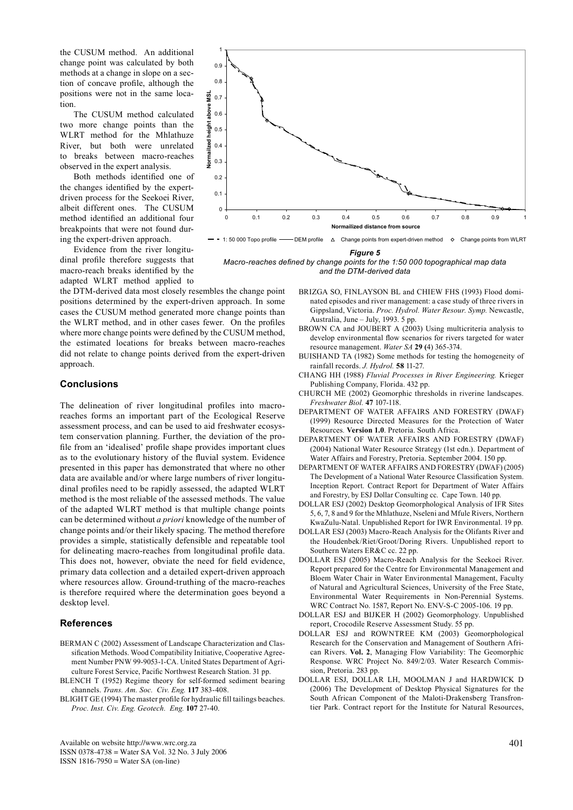the CUSUM method. An additional change point was calculated by both methods at a change in slope on a section of concave profile, although the positions were not in the same location.

 The CUSUM method calculated two more change points than the WLRT method for the Mhlathuze River, but both were unrelated to breaks between macro-reaches observed in the expert analysis.

 Both methods identified one of the changes identified by the expertdriven process for the Seekoei River, albeit different ones. The CUSUM method identified an additional four breakpoints that were not found during the expert-driven approach.

 Evidence from the river longitudinal profile therefore suggests that macro-reach breaks identified by the adapted WLRT method applied to

the DTM-derived data most closely resembles the change point positions determined by the expert-driven approach. In some cases the CUSUM method generated more change points than the WLRT method, and in other cases fewer. On the profiles where more change points were defined by the CUSUM method, the estimated locations for breaks between macro-reaches did not relate to change points derived from the expert-driven approach.

# **Conclusions**

The delineation of river longitudinal profiles into macroreaches forms an important part of the Ecological Reserve assessment process, and can be used to aid freshwater ecosystem conservation planning. Further, the deviation of the profile from an 'idealised' profile shape provides important clues as to the evolutionary history of the fluvial system. Evidence presented in this paper has demonstrated that where no other data are available and/or where large numbers of river longitudinal profiles need to be rapidly assessed, the adapted WLRT method is the most reliable of the assessed methods. The value of the adapted WLRT method is that multiple change points can be determined without *a priori* knowledge of the number of change points and/or their likely spacing. The method therefore provides a simple, statistically defensible and repeatable tool for delineating macro-reaches from longitudinal profile data. This does not, however, obviate the need for field evidence, primary data collection and a detailed expert-driven approach where resources allow. Ground-truthing of the macro-reaches is therefore required where the determination goes beyond a desktop level.

## **References**

- BERMAN C (2002) Assessment of Landscape Characterization and Classification Methods. Wood Compatibility Initiative, Cooperative Agreement Number PNW 99-9053-1-CA. United States Department of Agriculture Forest Service, Pacific Northwest Research Station. 31 pp.
- BLENCH T (1952) Regime theory for self-formed sediment bearing channels. *Trans. Am. Soc. Civ. Eng.* **117** 383-408.
- BLIGHT GE (1994) The master profile for hydraulic fill tailings beaches. *Proc. Inst. Civ. Eng. Geotech. Eng.* **107** 27-40.



*Macro-reaches defined by change points for the 1:50 000 topographical map data and the DTM-derived data*

- BRIZGA SO, FINLAYSON BL and CHIEW FHS (1993) Flood dominated episodes and river management: a case study of three rivers in Gippsland, Victoria. *Proc. Hydrol. Water Resour. Symp.* Newcastle, Australia, June – July, 1993. 5 pp.
- BROWN CA and JOUBERT A (2003) Using multicriteria analysis to develop environmental flow scenarios for rivers targeted for water resource management. *Water SA* **29 (**4) 365-374.
- BUISHAND TA (1982) Some methods for testing the homogeneity of rainfall records. *J. Hydrol.* **58** 11-27.
- CHANG HH (1988) *Fluvial Processes in River Engineering.* Krieger Publishing Company, Florida. 432 pp.
- CHURCH ME (2002) Geomorphic thresholds in riverine landscapes. *Freshwater Biol.* **47** 107-118.
- DEPARTMENT OF WATER AFFAIRS AND FORESTRY (DWAF) (1999) Resource Directed Measures for the Protection of Water Resources*.* **Version 1.0**. Pretoria. South Africa.
- DEPARTMENT OF WATER AFFAIRS AND FORESTRY (DWAF) (2004) National Water Resource Strategy (1st edn.). Department of Water Affairs and Forestry, Pretoria. September 2004. 150 pp.
- DEPARTMENT OF WATER AFFAIRS AND FORESTRY (DWAF) (2005) The Development of a National Water Resource Classification System. Inception Report. Contract Report for Department of Water Affairs and Forestry, by ESJ Dollar Consulting cc. Cape Town. 140 pp.
- DOLLAR ESJ (2002) Desktop Geomorphological Analysis of IFR Sites 5, 6, 7, 8 and 9 for the Mhlathuze, Nseleni and Mfule Rivers, Northern KwaZulu-Natal. Unpublished Report for IWR Environmental. 19 pp.
- DOLLAR ESJ (2003) Macro-Reach Analysis for the Olifants River and the Houdenbek/Riet/Groot/Doring Rivers. Unpublished report to Southern Waters ER&C cc. 22 pp.
- DOLLAR ESJ (2005) Macro-Reach Analysis for the Seekoei River. Report prepared for the Centre for Environmental Management and Bloem Water Chair in Water Environmental Management, Faculty of Natural and Agricultural Sciences, University of the Free State, Environmental Water Requirements in Non-Perennial Systems. WRC Contract No. 1587, Report No. ENV-S-C 2005-106. 19 pp.
- DOLLAR ESJ and BIJKER H (2002) Geomorphology. Unpublished report, Crocodile Reserve Assessment Study. 55 pp.
- DOLLAR ESJ and ROWNTREE KM (2003) Geomorphological Research for the Conservation and Management of Southern African Rivers. **Vol. 2**, Managing Flow Variability: The Geomorphic Response. WRC Project No. 849/2/03. Water Research Commission, Pretoria. 283 pp.
- DOLLAR ESJ, DOLLAR LH, MOOLMAN J and HARDWICK D (2006) The Development of Desktop Physical Signatures for the South African Component of the Maloti-Drakensberg Transfrontier Park. Contract report for the Institute for Natural Resources,

Available on website http://www.wrc.org.za ISSN 0378-4738 = Water SA Vol. 32 No. 3 July 2006 ISSN 1816-7950 = Water SA (on-line)